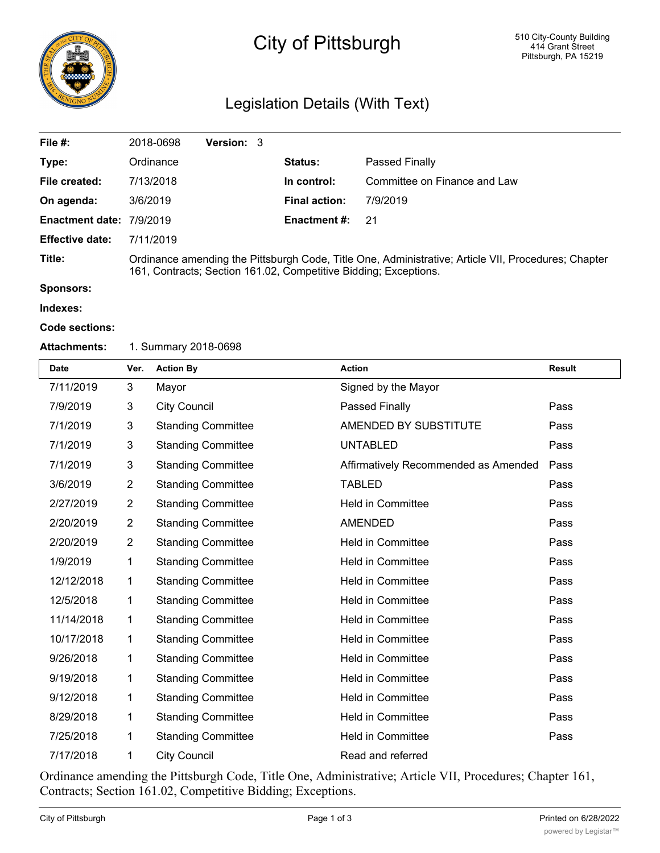

# City of Pittsburgh

# Legislation Details (With Text)

| File $#$ :               | 2018-0698                                                                                                                                                               | <b>Version: 3</b> |  |                      |                              |  |
|--------------------------|-------------------------------------------------------------------------------------------------------------------------------------------------------------------------|-------------------|--|----------------------|------------------------------|--|
| Type:                    | Ordinance                                                                                                                                                               |                   |  | <b>Status:</b>       | Passed Finally               |  |
| File created:            | 7/13/2018                                                                                                                                                               |                   |  | In control:          | Committee on Finance and Law |  |
| On agenda:               | 3/6/2019                                                                                                                                                                |                   |  | <b>Final action:</b> | 7/9/2019                     |  |
| Enactment date: 7/9/2019 |                                                                                                                                                                         |                   |  | <b>Enactment #:</b>  | -21                          |  |
| <b>Effective date:</b>   | 7/11/2019                                                                                                                                                               |                   |  |                      |                              |  |
| Title:                   | Ordinance amending the Pittsburgh Code, Title One, Administrative; Article VII, Procedures; Chapter<br>161, Contracts; Section 161.02, Competitive Bidding; Exceptions. |                   |  |                      |                              |  |

**Sponsors:**

**Indexes:**

#### **Code sections:**

#### **Attachments:** 1. Summary 2018-0698

| <b>Date</b> | Ver.           | <b>Action By</b>          | <b>Action</b>                        | <b>Result</b> |
|-------------|----------------|---------------------------|--------------------------------------|---------------|
| 7/11/2019   | 3              | Mayor                     | Signed by the Mayor                  |               |
| 7/9/2019    | 3              | <b>City Council</b>       | Passed Finally                       | Pass          |
| 7/1/2019    | 3              | <b>Standing Committee</b> | AMENDED BY SUBSTITUTE                | Pass          |
| 7/1/2019    | 3              | <b>Standing Committee</b> | <b>UNTABLED</b>                      | Pass          |
| 7/1/2019    | 3              | <b>Standing Committee</b> | Affirmatively Recommended as Amended | Pass          |
| 3/6/2019    | $\overline{2}$ | <b>Standing Committee</b> | <b>TABLED</b>                        | Pass          |
| 2/27/2019   | $\overline{2}$ | <b>Standing Committee</b> | <b>Held in Committee</b>             | Pass          |
| 2/20/2019   | $\overline{2}$ | <b>Standing Committee</b> | <b>AMENDED</b>                       | Pass          |
| 2/20/2019   | $\overline{2}$ | <b>Standing Committee</b> | <b>Held in Committee</b>             | Pass          |
| 1/9/2019    | 1              | <b>Standing Committee</b> | <b>Held in Committee</b>             | Pass          |
| 12/12/2018  | 1              | <b>Standing Committee</b> | <b>Held in Committee</b>             | Pass          |
| 12/5/2018   | 1              | <b>Standing Committee</b> | Held in Committee                    | Pass          |
| 11/14/2018  | 1              | <b>Standing Committee</b> | <b>Held in Committee</b>             | Pass          |
| 10/17/2018  | 1              | <b>Standing Committee</b> | <b>Held in Committee</b>             | Pass          |
| 9/26/2018   | 1              | <b>Standing Committee</b> | <b>Held in Committee</b>             | Pass          |
| 9/19/2018   | 1              | <b>Standing Committee</b> | <b>Held in Committee</b>             | Pass          |
| 9/12/2018   | 1              | <b>Standing Committee</b> | Held in Committee                    | Pass          |
| 8/29/2018   | 1              | <b>Standing Committee</b> | <b>Held in Committee</b>             | Pass          |
| 7/25/2018   | 1              | <b>Standing Committee</b> | <b>Held in Committee</b>             | Pass          |
| 7/17/2018   | 1              | <b>City Council</b>       | Read and referred                    |               |

Ordinance amending the Pittsburgh Code, Title One, Administrative; Article VII, Procedures; Chapter 161, Contracts; Section 161.02, Competitive Bidding; Exceptions.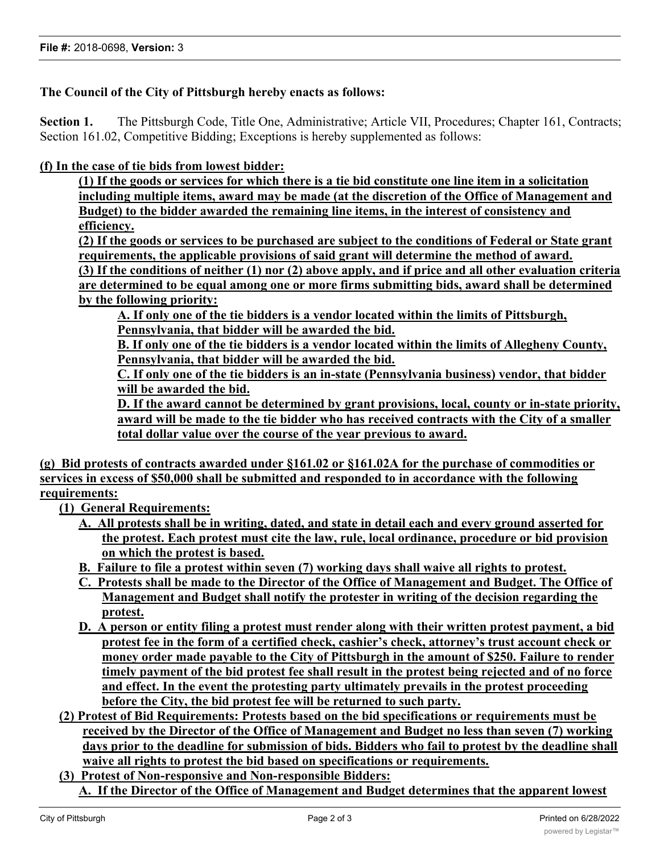## **The Council of the City of Pittsburgh hereby enacts as follows:**

**Section 1.** The Pittsburgh Code, Title One, Administrative; Article VII, Procedures; Chapter 161, Contracts; Section 161.02, Competitive Bidding; Exceptions is hereby supplemented as follows:

### **(f) In the case of tie bids from lowest bidder:**

**(1) If the goods or services for which there is a tie bid constitute one line item in a solicitation including multiple items, award may be made (at the discretion of the Office of Management and Budget) to the bidder awarded the remaining line items, in the interest of consistency and efficiency.**

**(2) If the goods or services to be purchased are subject to the conditions of Federal or State grant requirements, the applicable provisions of said grant will determine the method of award.**

**(3) If the conditions of neither (1) nor (2) above apply, and if price and all other evaluation criteria are determined to be equal among one or more firms submitting bids, award shall be determined by the following priority:**

**A. If only one of the tie bidders is a vendor located within the limits of Pittsburgh, Pennsylvania, that bidder will be awarded the bid.**

**B. If only one of the tie bidders is a vendor located within the limits of Allegheny County, Pennsylvania, that bidder will be awarded the bid.**

**C. If only one of the tie bidders is an in-state (Pennsylvania business) vendor, that bidder will be awarded the bid.**

**D. If the award cannot be determined by grant provisions, local, county or in-state priority, award will be made to the tie bidder who has received contracts with the City of a smaller total dollar value over the course of the year previous to award.**

**(g) Bid protests of contracts awarded under §161.02 or §161.02A for the purchase of commodities or services in excess of \$50,000 shall be submitted and responded to in accordance with the following requirements:**

**(1) General Requirements:**

- **A. All protests shall be in writing, dated, and state in detail each and every ground asserted for the protest. Each protest must cite the law, rule, local ordinance, procedure or bid provision on which the protest is based.**
- **B. Failure to file a protest within seven (7) working days shall waive all rights to protest.**
- **C. Protests shall be made to the Director of the Office of Management and Budget. The Office of Management and Budget shall notify the protester in writing of the decision regarding the protest.**
- **D. A person or entity filing a protest must render along with their written protest payment, a bid protest fee in the form of a certified check, cashier's check, attorney's trust account check or money order made payable to the City of Pittsburgh in the amount of \$250. Failure to render timely payment of the bid protest fee shall result in the protest being rejected and of no force and effect. In the event the protesting party ultimately prevails in the protest proceeding before the City, the bid protest fee will be returned to such party.**
- **(2) Protest of Bid Requirements: Protests based on the bid specifications or requirements must be received by the Director of the Office of Management and Budget no less than seven (7) working days prior to the deadline for submission of bids. Bidders who fail to protest by the deadline shall waive all rights to protest the bid based on specifications or requirements.**
- **(3) Protest of Non-responsive and Non-responsible Bidders:**
	- **A. If the Director of the Office of Management and Budget determines that the apparent lowest**